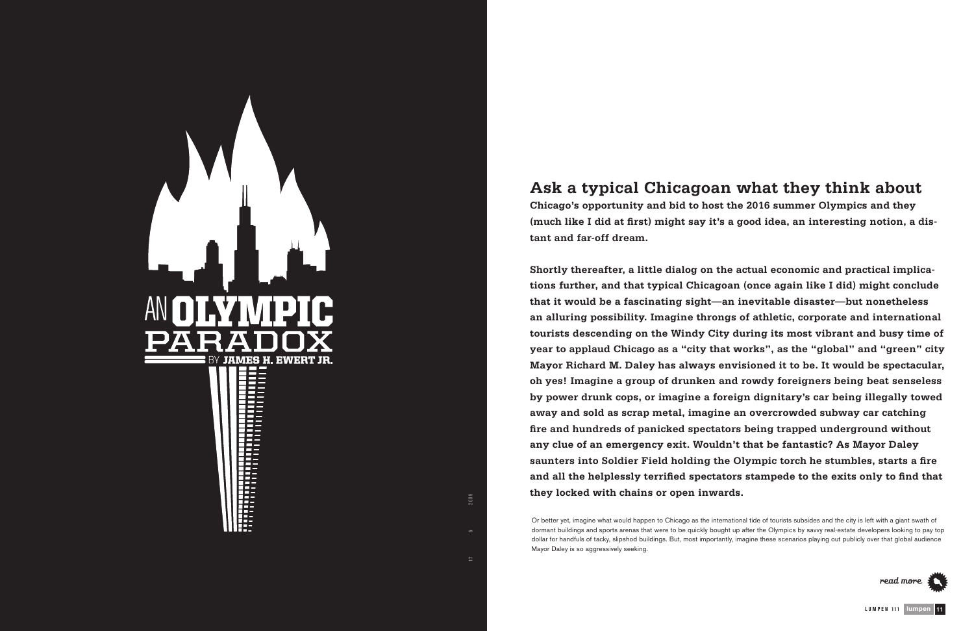Or better yet, imagine what would happen to Chicago as the international tide of tourists subsides and the city is left with a giant swath of dormant buildings and sports arenas that were to be quickly bought up after the Olympics by savvy real-estate developers looking to pay top dollar for handfuls of tacky, slipshod buildings. But, most importantly, imagine these scenarios playing out publicly over that global audience



## **Ask a typical Chicagoan what they think about**

**Chicago's opportunity and bid to host the 2016 summer Olympics and they (much like I did at first) might say it's a good idea, an interesting notion, a distant and far-off dream.** 

**Shortly thereafter, a little dialog on the actual economic and practical implications further, and that typical Chicagoan (once again like I did) might conclude that it would be a fascinating sight—an inevitable disaster—but nonetheless an alluring possibility. Imagine throngs of athletic, corporate and international tourists descending on the Windy City during its most vibrant and busy time of year to applaud Chicago as a "city that works", as the "global" and "green" city Mayor Richard M. Daley has always envisioned it to be. It would be spectacular, oh yes! Imagine a group of drunken and rowdy foreigners being beat senseless by power drunk cops, or imagine a foreign dignitary's car being illegally towed away and sold as scrap metal, imagine an overcrowded subway car catching fire and hundreds of panicked spectators being trapped underground without any clue of an emergency exit. Wouldn't that be fantastic? As Mayor Daley saunters into Soldier Field holding the Olympic torch he stumbles, starts a fire and all the helplessly terrified spectators stampede to the exits only to find that they locked with chains or open inwards.** 



**V O L UME 17 I S S UE 5** M A R C H 2 0 0 9